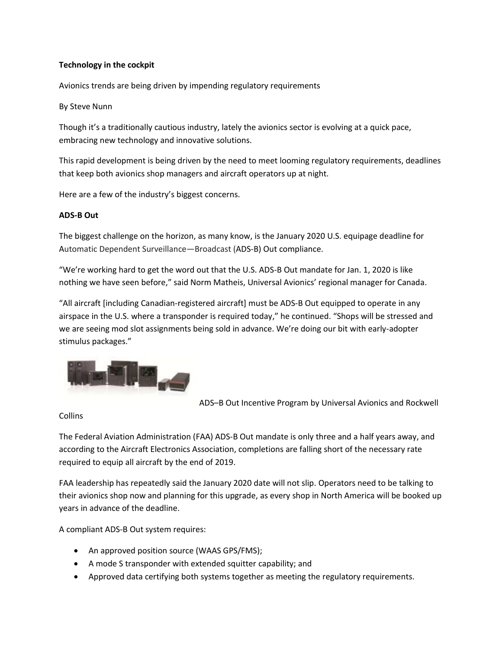# **Technology in the cockpit**

Avionics trends are being driven by impending regulatory requirements

### By Steve Nunn

Though it's a traditionally cautious industry, lately the avionics sector is evolving at a quick pace, embracing new technology and innovative solutions.

This rapid development is being driven by the need to meet looming regulatory requirements, deadlines that keep both avionics shop managers and aircraft operators up at night.

Here are a few of the industry's biggest concerns.

## **ADS-B Out**

The biggest challenge on the horizon, as many know, is the January 2020 U.S. equipage deadline for Automatic Dependent Surveillance—Broadcast (ADS-B) Out compliance.

"We're working hard to get the word out that the U.S. ADS-B Out mandate for Jan. 1, 2020 is like nothing we have seen before," said Norm Matheis, Universal Avionics' regional manager for Canada.

"All aircraft [including Canadian-registered aircraft] must be ADS-B Out equipped to operate in any airspace in the U.S. where a transponder is required today," he continued. "Shops will be stressed and we are seeing mod slot assignments being sold in advance. We're doing our bit with early-adopter stimulus packages."



ADS–B Out Incentive Program by Universal Avionics and Rockwell

Collins

The Federal Aviation Administration (FAA) ADS-B Out mandate is only three and a half years away, and according to the Aircraft Electronics Association, completions are falling short of the necessary rate required to equip all aircraft by the end of 2019.

FAA leadership has repeatedly said the January 2020 date will not slip. Operators need to be talking to their avionics shop now and planning for this upgrade, as every shop in North America will be booked up years in advance of the deadline.

A compliant ADS-B Out system requires:

- An approved position source (WAAS GPS/FMS);
- A mode S transponder with extended squitter capability; and
- Approved data certifying both systems together as meeting the regulatory requirements.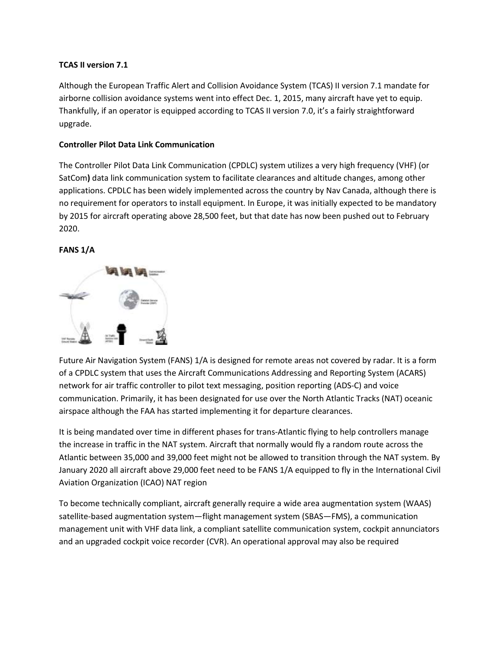# **TCAS II version 7.1**

Although the European Traffic Alert and Collision Avoidance System (TCAS) II version 7.1 mandate for airborne collision avoidance systems went into effect Dec. 1, 2015, many aircraft have yet to equip. Thankfully, if an operator is equipped according to TCAS II version 7.0, it's a fairly straightforward upgrade.

# **Controller Pilot Data Link Communication**

The Controller Pilot Data Link Communication (CPDLC) system utilizes a very high frequency (VHF) (or SatCom**)** data link communication system to facilitate clearances and altitude changes, among other applications. CPDLC has been widely implemented across the country by Nav Canada, although there is no requirement for operators to install equipment. In Europe, it was initially expected to be mandatory by 2015 for aircraft operating above 28,500 feet, but that date has now been pushed out to February 2020.

## **FANS 1/A**



Future Air Navigation System (FANS) 1/A is designed for remote areas not covered by radar. It is a form of a CPDLC system that uses the Aircraft Communications Addressing and Reporting System (ACARS) network for air traffic controller to pilot text messaging, position reporting (ADS-C) and voice communication. Primarily, it has been designated for use over the North Atlantic Tracks (NAT) oceanic airspace although the FAA has started implementing it for departure clearances.

It is being mandated over time in different phases for trans-Atlantic flying to help controllers manage the increase in traffic in the NAT system. Aircraft that normally would fly a random route across the Atlantic between 35,000 and 39,000 feet might not be allowed to transition through the NAT system. By January 2020 all aircraft above 29,000 feet need to be FANS 1/A equipped to fly in the International Civil Aviation Organization (ICAO) NAT region

To become technically compliant, aircraft generally require a wide area augmentation system (WAAS) satellite-based augmentation system—flight management system (SBAS—FMS), a communication management unit with VHF data link, a compliant satellite communication system, cockpit annunciators and an upgraded cockpit voice recorder (CVR). An operational approval may also be required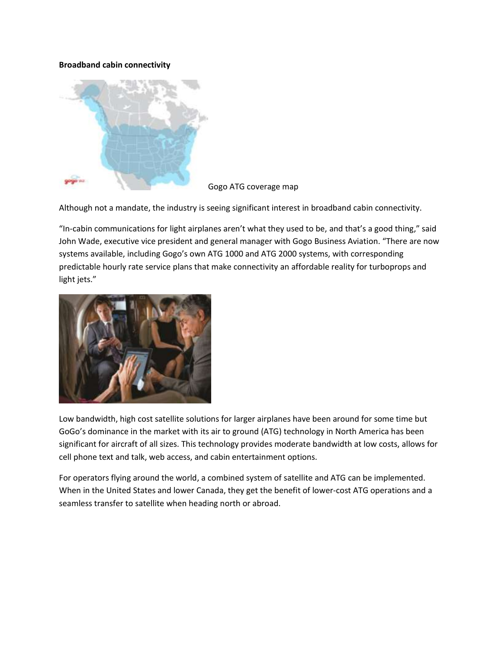### **Broadband cabin connectivity**



Gogo ATG coverage map

Although not a mandate, the industry is seeing significant interest in broadband cabin connectivity.

"In-cabin communications for light airplanes aren't what they used to be, and that's a good thing," said John Wade, executive vice president and general manager with Gogo Business Aviation. "There are now systems available, including Gogo's own ATG 1000 and ATG 2000 systems, with corresponding predictable hourly rate service plans that make connectivity an affordable reality for turboprops and light jets."



Low bandwidth, high cost satellite solutions for larger airplanes have been around for some time but GoGo's dominance in the market with its air to ground (ATG) technology in North America has been significant for aircraft of all sizes. This technology provides moderate bandwidth at low costs, allows for cell phone text and talk, web access, and cabin entertainment options.

For operators flying around the world, a combined system of satellite and ATG can be implemented. When in the United States and lower Canada, they get the benefit of lower-cost ATG operations and a seamless transfer to satellite when heading north or abroad.